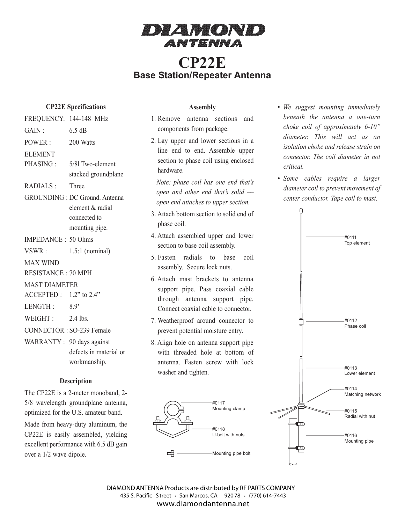

# **CP22E Base Station/Repeater Antenna**

### **CP22E Specifications**

| FREQUENCY: 144-148 MHz          |                                       |
|---------------------------------|---------------------------------------|
| GAIN:                           | $6.5 \text{ dB}$                      |
| POWER:                          | 200 Watts                             |
| <b>ELEMENT</b>                  |                                       |
| PHASING:                        | 5/81 Two-element                      |
|                                 | stacked groundplane                   |
| <b>RADIALS:</b>                 | Three                                 |
|                                 | <b>GROUNDING</b> : DC Ground. Antenna |
|                                 | element & radial                      |
|                                 | connected to                          |
|                                 | mounting pipe.                        |
| <b>IMPEDANCE: 50 Ohms</b>       |                                       |
| VSWR:                           | $1.5:1$ (nominal)                     |
| <b>MAX WIND</b>                 |                                       |
| <b>RESISTANCE: 70 MPH</b>       |                                       |
| <b>MAST DIAMETER</b>            |                                       |
| ACCEPTED: 1.2" to 2.4"          |                                       |
| LENGTH:                         | 8.9                                   |
| WEIGHT:                         | 2.4 lbs.                              |
| <b>CONNECTOR: SO-239 Female</b> |                                       |
| WARRANTY: 90 days against       |                                       |
|                                 | defects in material or                |
|                                 | workmanship.                          |
|                                 |                                       |

### **Description**

The CP22E is a 2-meter monoband, 2- 5/8 wavelength groundplane antenna, optimized for the U.S. amateur band.

Made from heavy-duty aluminum, the CP22E is easily assembled, yielding excellent performance with 6.5 dB gain over a 1/2 wave dipole.

#### **Assembly**

- 1. Remove antenna sections and components from package.
- 2. Lay upper and lower sections in a line end to end. Assemble upper section to phase coil using enclosed hardware.

*Note: phase coil has one end that's open and other end that's solid –– open end attaches to upper section.*

- 3. Attach bottom section to solid end of phase coil.
- 4. Attach assembled upper and lower section to base coil assembly.
- 5. Fasten radials to base coil assembly. Secure lock nuts.
- 6. Attach mast brackets to antenna support pipe. Pass coaxial cable through antenna support pipe. Connect coaxial cable to connector.
- 7. Weatherproof around connector to prevent potential moisture entry.
- 8. Align hole on antenna support pipe with threaded hole at bottom of antenna. Fasten screw with lock washer and tighten.



- *• We suggest mounting immediately beneath the antenna a one-turn choke coil of approximately 6-10" diameter. This will act as an isolation choke and release strain on connector. The coil diameter in not critical.*
- *• Some cables require a larger diameter coil to prevent movement of center conductor. Tape coil to mast.*



DIAMOND ANTENNA Products are distributed by RF PARTS COMPANY 435 S. Pacific Street · San Marcos, CA 92078 · (770) 614-7443 **www.diamondantenna.net**